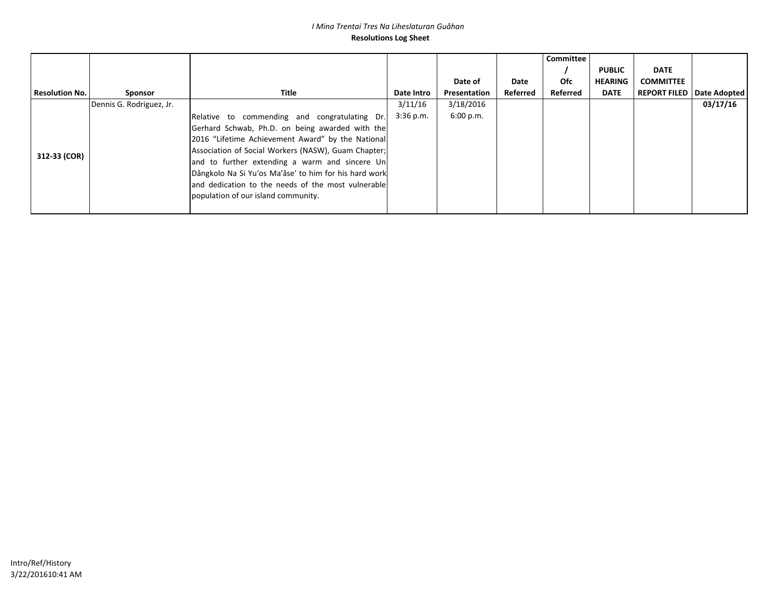#### *I Mina Trentai Tres Na Liheslaturan Guåhan* **Resolutions Log Sheet**

|                       |                          |                                                       |             |              |          | Committee |                |                                    |          |
|-----------------------|--------------------------|-------------------------------------------------------|-------------|--------------|----------|-----------|----------------|------------------------------------|----------|
|                       |                          |                                                       |             |              |          |           | <b>PUBLIC</b>  | <b>DATE</b>                        |          |
|                       |                          |                                                       |             | Date of      | Date     | Ofc       | <b>HEARING</b> | <b>COMMITTEE</b>                   |          |
| <b>Resolution No.</b> | Sponsor                  | Title                                                 | Date Intro  | Presentation | Referred | Referred  | <b>DATE</b>    | <b>REPORT FILED   Date Adopted</b> |          |
| 312-33 (COR)          | Dennis G. Rodriguez, Jr. |                                                       | 3/11/16     | 3/18/2016    |          |           |                |                                    | 03/17/16 |
|                       |                          | Relative to commending and congratulating Dr.         | $3:36$ p.m. | 6:00 p.m.    |          |           |                |                                    |          |
|                       |                          | Gerhard Schwab, Ph.D. on being awarded with the       |             |              |          |           |                |                                    |          |
|                       |                          | 2016 "Lifetime Achievement Award" by the National     |             |              |          |           |                |                                    |          |
|                       |                          | Association of Social Workers (NASW), Guam Chapter;   |             |              |          |           |                |                                    |          |
|                       |                          | and to further extending a warm and sincere Un        |             |              |          |           |                |                                    |          |
|                       |                          | Dångkolo Na Si Yu'os Ma'åse' to him for his hard work |             |              |          |           |                |                                    |          |
|                       |                          | and dedication to the needs of the most vulnerable    |             |              |          |           |                |                                    |          |
|                       |                          | population of our island community.                   |             |              |          |           |                |                                    |          |
|                       |                          |                                                       |             |              |          |           |                |                                    |          |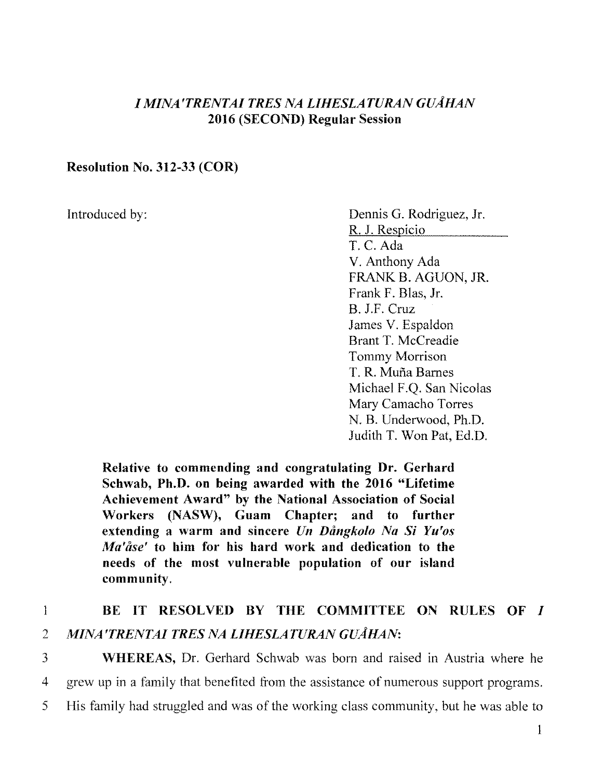### l l~fLVA'TRENTAI *TRES 1VA LIHESLATURA1V GUAHAN*  2016 (SECOND) Regular Session

### Resolution No. 312-33 (COR)

Introduced by: Dennis G. Rodriguez, Jr. R. J. Respicio T. C. Ada V. Anthony Ada FRANK B. AGUON, JR. Frank F. Blas, Jr. B. J.F. Cruz James V. Espaldon Brant T. Mccreadie Tommy Morrison T. R. Mufia Barnes Michael F.Q. San Nicolas Mary Camacho Torres N. B. Underwood, Ph.D. Judith T. Won Pat, Ed.D.

Relative to commending and congratulating Dr. Gerhard Schwab, Ph.D. on being awarded with the 2016 "Lifetime Achievement Award" by the National Association of Social Workers (NASW), Guam Chapter; and to further extending a warm and sincere *Un Dangkolo Na Si Yu'os Ma'åse'* to him for his hard work and dedication to the needs of the most vulnerable population of our island community.

# I BE IT RESOLVED BY THE COMMITTEE ON RULES OF I 2 *MINA'TRENTAI TRES NA LIHESLATURAN GUÅHAN*:

3 WHEREAS, Dr. Gerhard Schwab was born and raised in Austria where he 4 grew up in a family that benefited from the assistance of numerous support programs. 5 His family had struggled and was of the working class community, but he was able to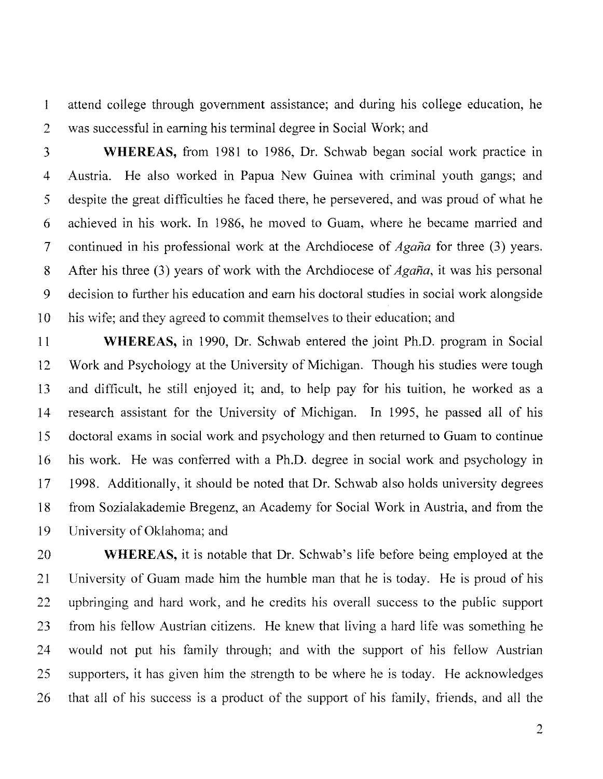1 attend college through government assistance; and during his college education, he 2 was successful in earning his terminal degree in Social Work; and

3 **WHEREAS,** from 1981 to 1986, Dr. Schwab began social work practice in 4 Austria. He also worked in Papua New Guinea with criminal youth gangs; and 5 despite the great difficulties he faced there, he persevered, and was proud of what he 6 achieved in his work. In 1986, he moved to Guam, where he became married and 7 continued in his professional work at the Archdiocese of *Agana* for three (3) years. 8 After his three (3) years of work with the Archdiocese of *Agana,* it was his personal 9 decision to further his education and earn his doctoral studies in social work alongside 10 his wife; and they agreed to commit themselves to their education; and

11 **WHEREAS,** in 1990, Dr. Schwab entered the joint Ph.D. program in Social 12 Work and Psychology at the University of Michigan. Though his studies were tough 13 and difficult, he still enjoyed it; and, to help pay for his tuition, he worked as a 14 research assistant for the University of Michigan. In 1995, he passed all of his 15 doctoral exams in social work and psychology and then returned to Guam to continue 16 his work. He was conferred with a Ph.D. degree in social work and psychology in 17 1998. Additionally, it should be noted that Dr. Schwab also holds university degrees 18 from Sozialakademie Bregenz, an Academy for Social Work in Austria, and from the 19 University of Oklahoma; and

20 **WHEREAS,** it is notable that Dr. Schwab's life before being employed at the 21 University of Guam made him the humble man that he is today. He is proud of his 22 upbringing and hard work, and he credits his overall success to the public support 23 from his fellow Austrian citizens. He knew that living a hard life was something he 24 would not put his family through; and with the support of his fellow Austrian 25 supporters, it has given him the strength to be where he is today. He acknowledges 26 that all of his success is a product of the support of his family, friends, and all the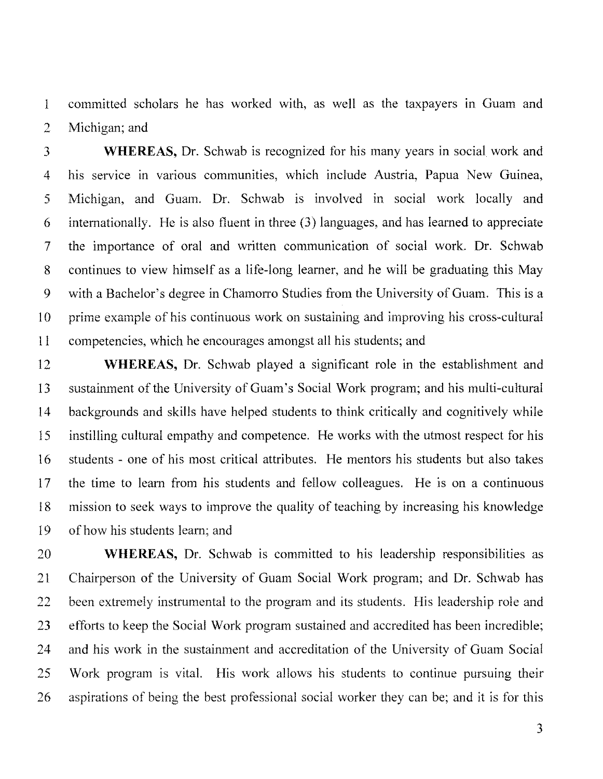1 committed scholars he has worked with, as well as the taxpayers in Guam and 2 Michigan; and

3 **WHEREAS,** Dr. Schwab is recognized for his many years in social work and 4 his service in various communities, which include Austria, Papua New Guinea, 5 Michigan, and Guam. Dr. Schwab is involved in social work locally and 6 internationally. He is also fluent in three (3) languages, and has learned to appreciate 7 the importance of oral and written communication of social work. Dr. Schwab 8 continues to view himself as a life-long learner, and he will be graduating this May 9 with a Bachelor's degree in Chamorro Studies from the University of Guam. This is a 10 prime example of his continuous work on sustaining and improving his cross-cultural 11 competencies, which he encourages amongst all his students; and

12 **WHEREAS,** Dr. Schwab played a significant role in the establishment and 13 sustainment of the University of Guam's Social Work program; and his multi-cultural 14 backgrounds and skills have helped students to think critically and cognitively while 15 instilling cultural empathy and competence. He works with the utmost respect for his 16 students - one of his most critical attributes. He mentors his students but also takes 17 the time to learn from his students and fellow colleagues. He is on a continuous 18 mission to seek ways to improve the quality of teaching by increasing his knowledge 19 of how his students learn; and

20 **WHEREAS,** Dr. Schwab is committed to his leadership responsibilities as 21 Chairperson of the University of Guam Social Work program; and Dr. Schwab has 22 been extremely instrumental to the program and its students. His leadership role and 23 efforts to keep the Social Work program sustained and accredited has been incredible; 24 and his work in the sustainment and accreditation of the University of Guam Social 25 Work program is vital. His work allows his students to continue pursuing their 26 aspirations of being the best professional social worker they can be; and it is for this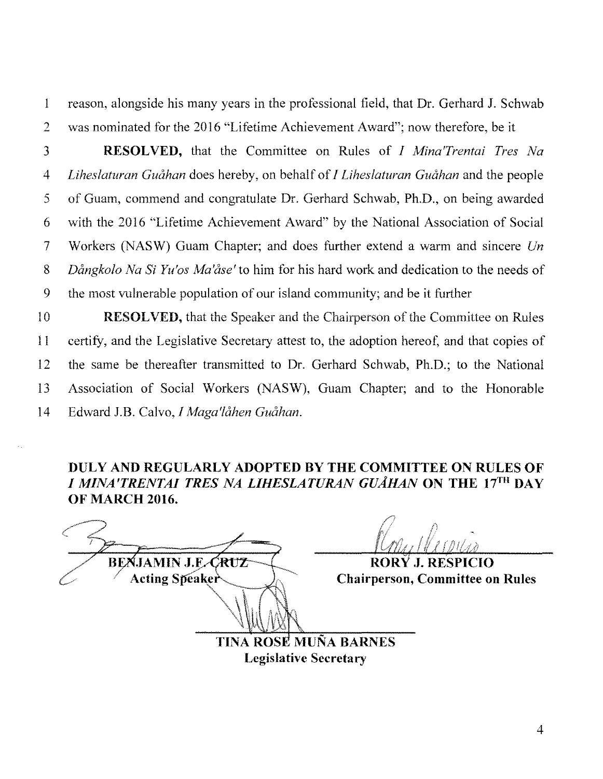I reason, alongside his many years in the professional field, that Dr. Gerhard J. Schwab 2 was nominated for the 2016 "Lifetime Achievement Award"; now therefore, be it

3 **RESOLVED,** that the Committee on Rules of *I Afina'Trentai Tres Na*  4 *Liheslaturan Guahan* does hereby, on behalf of *I Liheslaturan Guahan* and the people 5 of Guam, commend and congratulate Dr. Gerhard Schwab, Ph.D., on being awarded 6 with the 2016 "Lifetime Achievement Award" by the National Association of Social 7 Workers (NASW) Guam Chapter; and does further extend a warm and sincere *Un*  8 *Dangkolo Na Si Yu'os Ma'ase'to* him for his hard work and dedication to the needs of 9 the most vulnerable population of our island community; and be it further

10 **RESOLVED**, that the Speaker and the Chairperson of the Committee on Rules 11 certify, and the Legislative Secretary attest to, the adoption hereof, and that copies of 12 the same be thereafter transmitted to Dr. Gerhard Schwab, Ph.D.; to the National 13 Association of Social \Yorkers (NASW), Guam Chapter; and to the Honorable 14 Edward J.B. Calvo, *I Maga'lahen Guahan.* 

## **DULY AND REGULARLY ADOPTED BY THE COMMITTEE ON RULES OF**  *I MINA'TRENTAI TRES NA L/HESLATURAN GUAHAN* **ON THE 17TH DAY OF MARCH 2016.**

**BEXJAMIN J.F. CRUZ Acting Speaker '**  $\sim$   $\sqrt{1}$ 

/) Romy Marpiers  $\mathcal{V}_{\mathit{M}_{\mathit{H}}\mathit{H}}$  if  $\mathit{I}_{\mathit{H}}$ 

**RORY J. RESPICIO Chairperson, Committee on Rules** 

TINA ROSE MUÑA BARNES **Legislative Secretary**